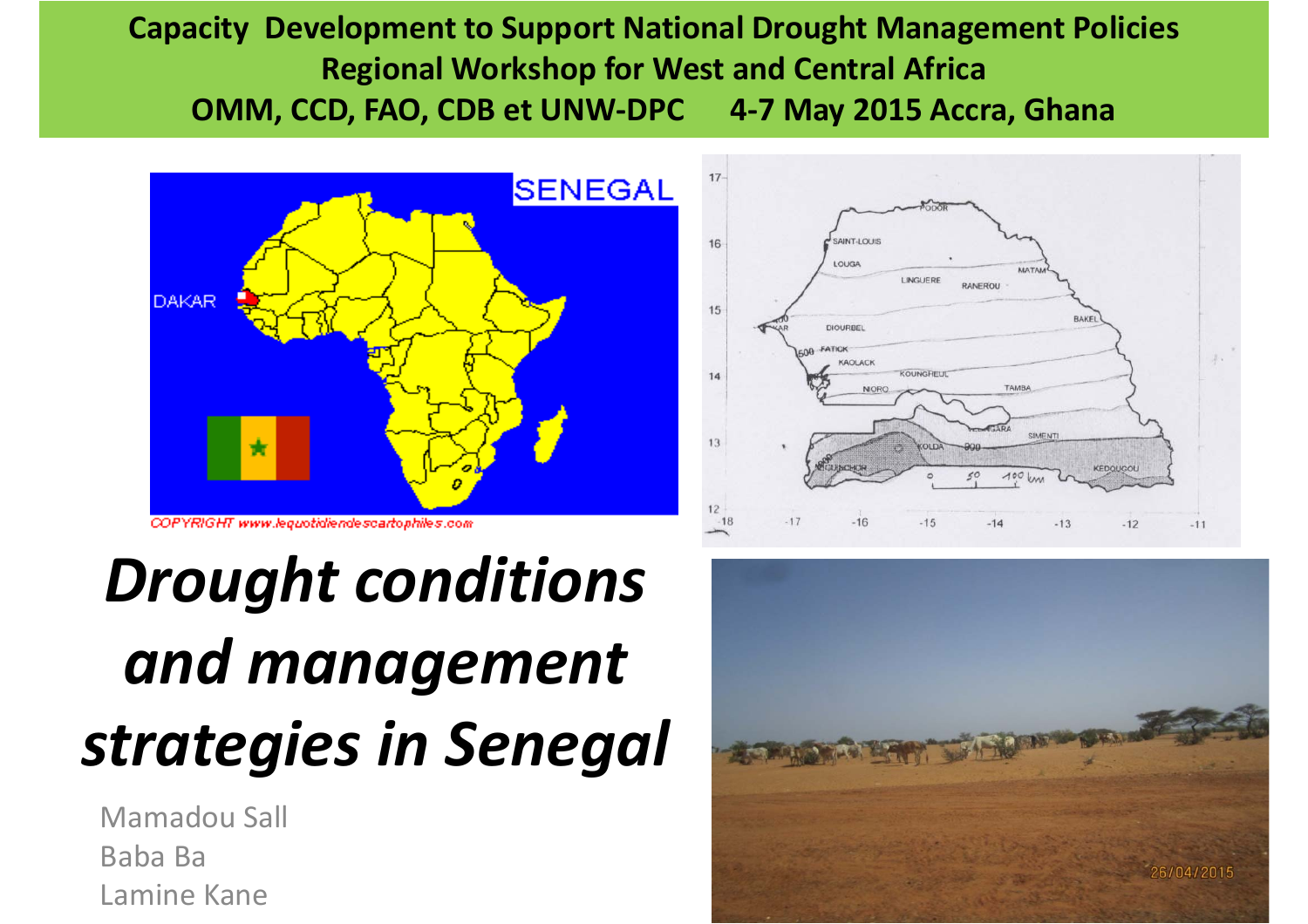#### **Capacity Development to Support National Drought Management Policies Regional Workshop for West and Central Africa OMM, CCD, FAO, CDB et UNW‐DPC 4‐7 May 2015 Accra, Ghana**



#### *Drought conditions and management strategies in Senegal*

Mamadou SallBaba Ba Lamine Kane



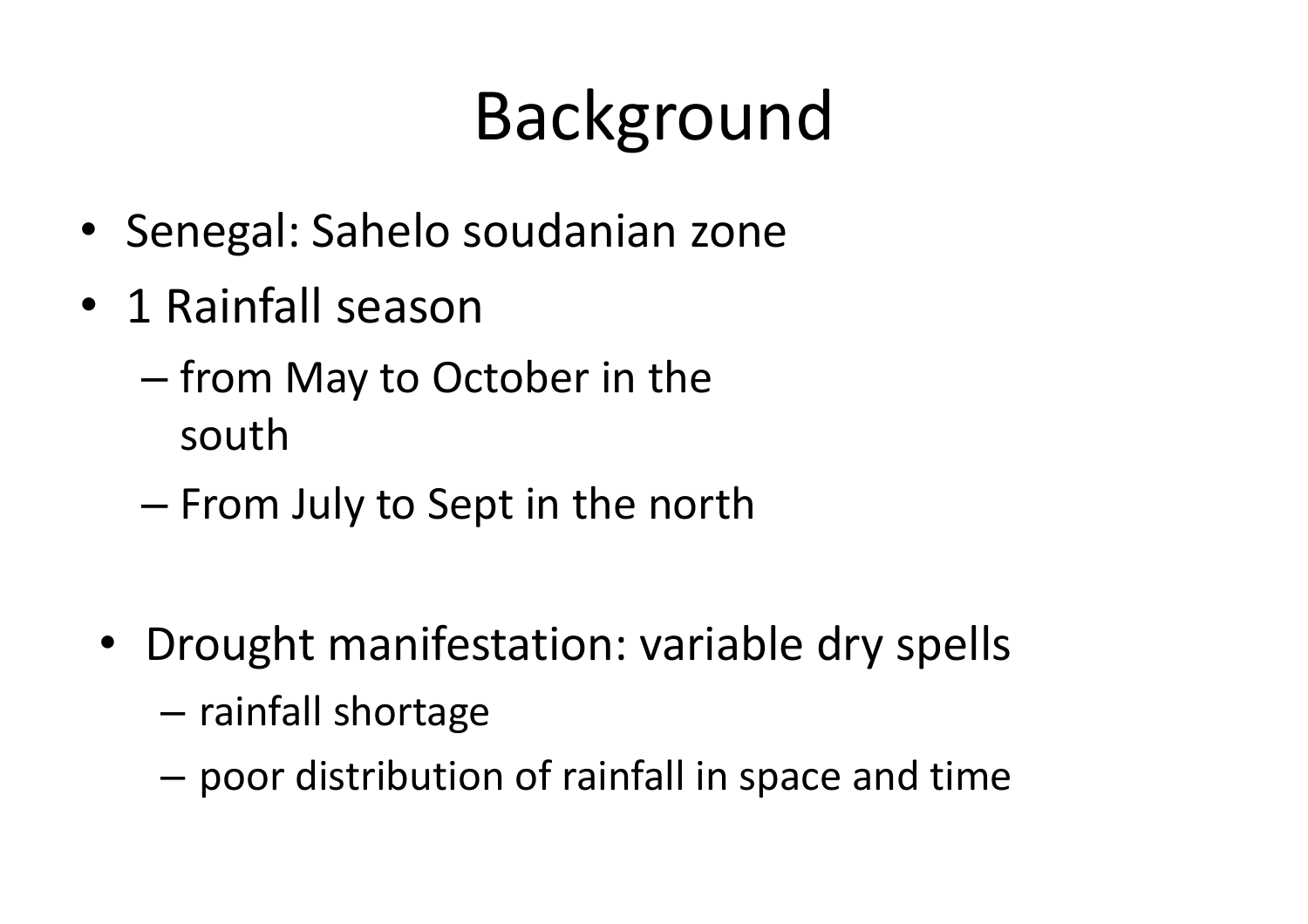# Background

- Senegal: Sahelo soudanian zone
- 1 Rainfall season
	- from May to October in the south
	- From July to Sept in the north
	- $\bullet$  Drought manifestation: variable dry spells
		- and the state of the state  $-$  rainfall shortage
		- –poor distribution of rainfall in space and time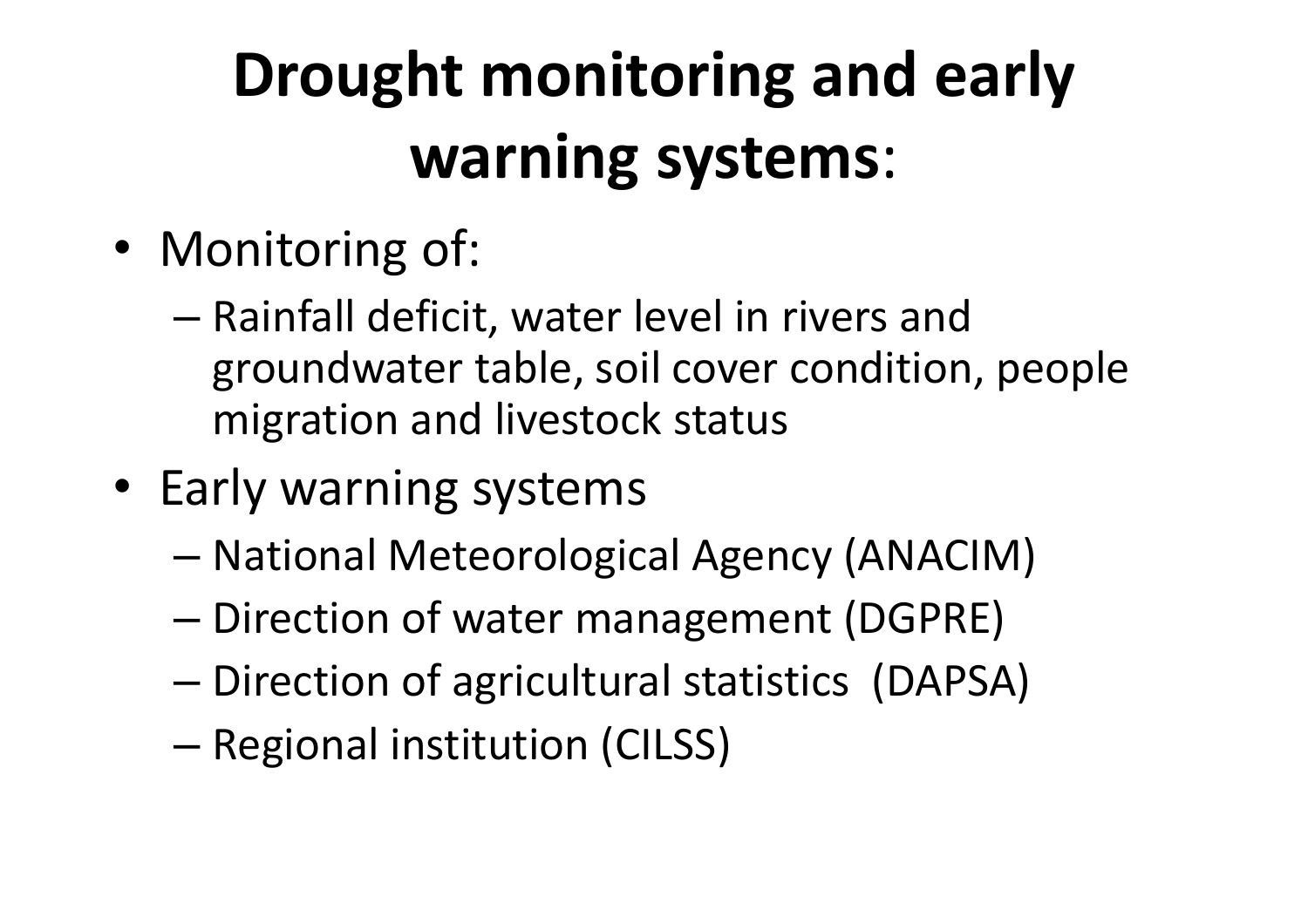### **Drought monitoring and early warning systems**:

- Monitoring of:
	- Rainfall deficit, water level in rivers and groundwater table, soil cover condition, people migration and livestock status
- Early warning systems
	- National Meteorological Agency (ANACIM)
	- Direction of water management (DGPRE)
	- –Direction of agricultural statistics (DAPSA)
	- –Regional institution (CILSS)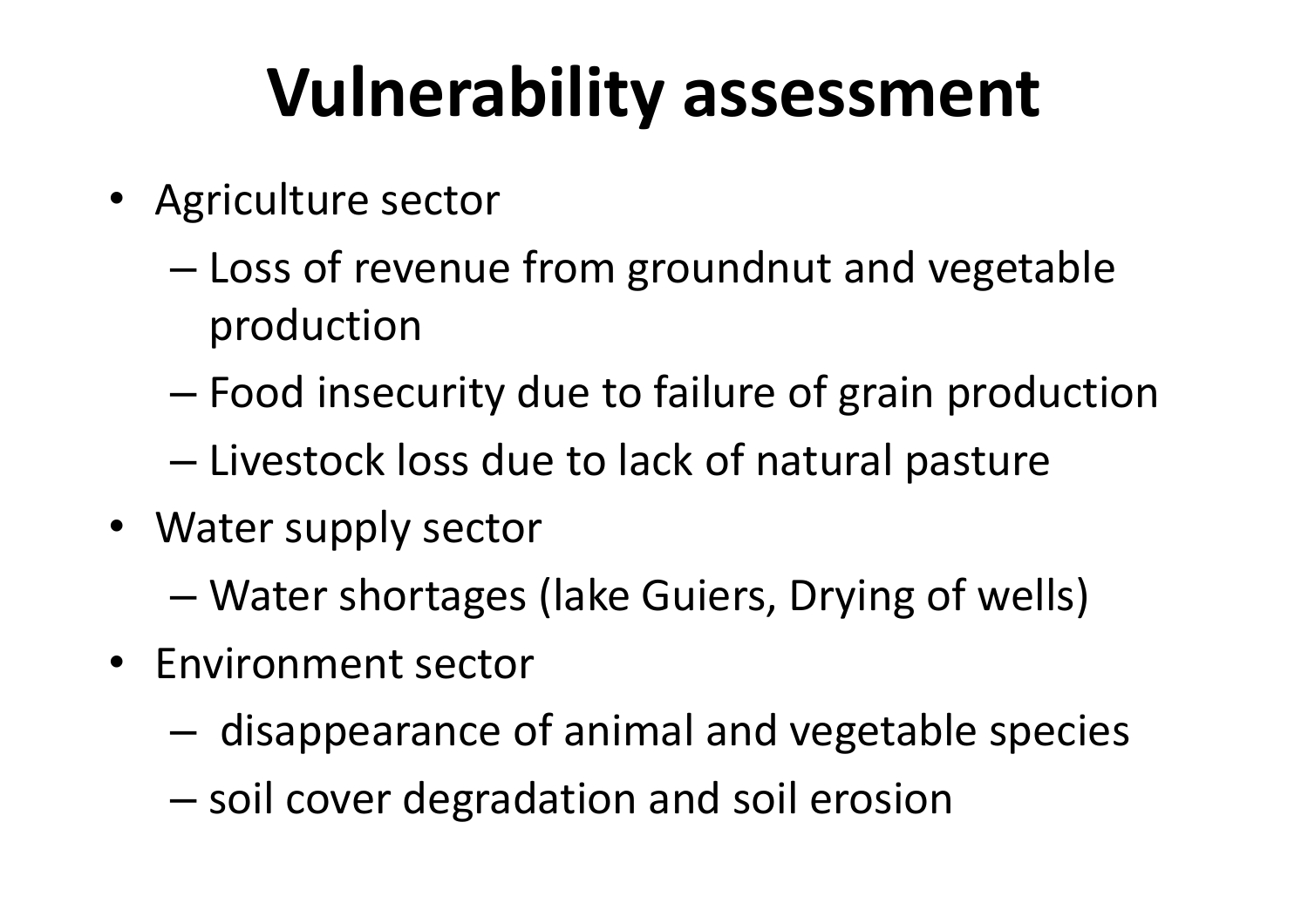## **Vulnerability assessment**

- Agriculture sector
	- Loss of revenue from groundnut and vegetable production
	- Food insecurity due to failure of grain production
	- Livestock loss due to lack of natural pasture
- Water supply sector
	- –Water shortages (lake Guiers, Drying of wells)
- Environment sector
	- $-$  disappearance of animal and vegetable species
	- $-$  soil cover degradation and soil erosion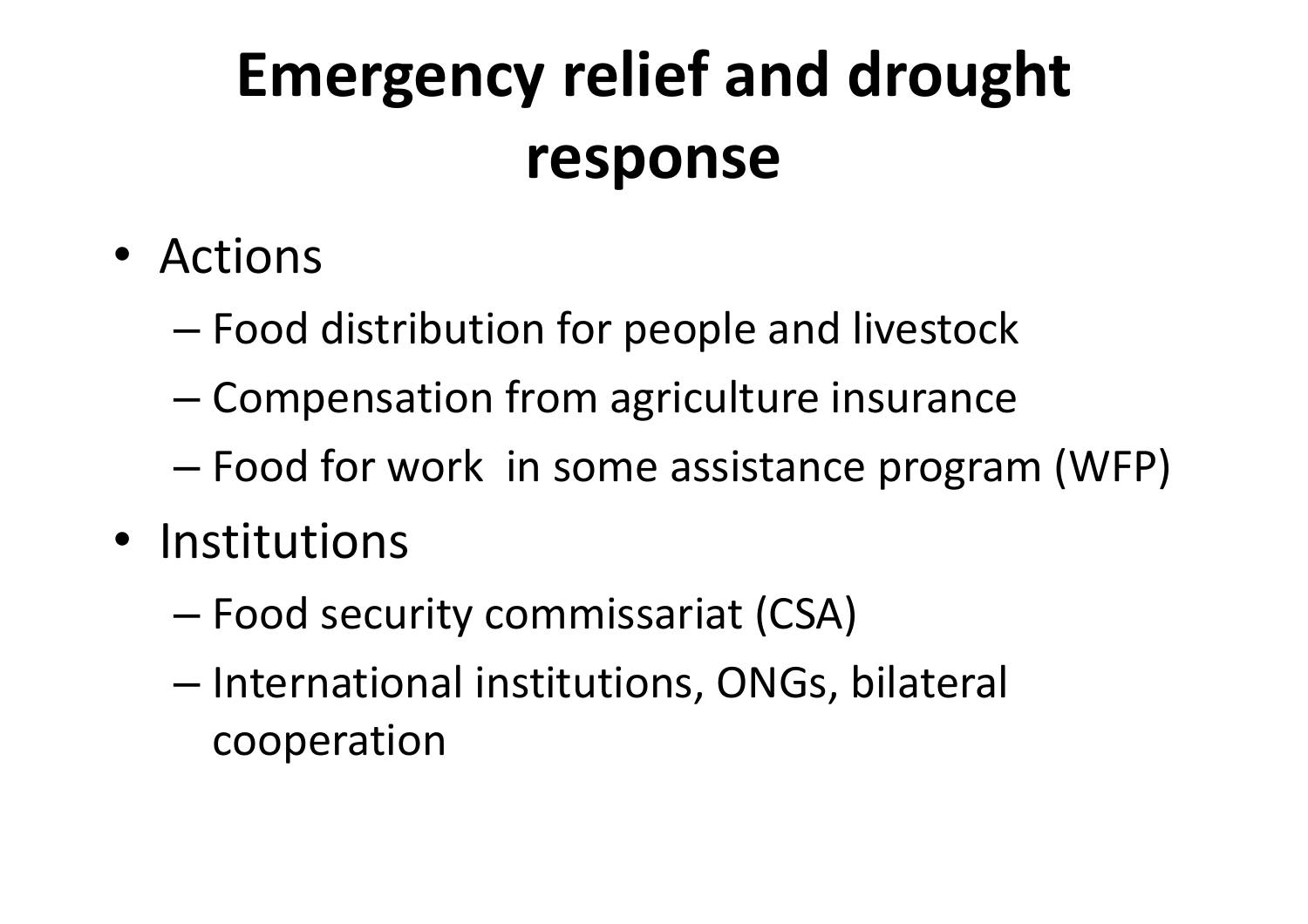#### **Emergency relief and drought response**

- Actions
	- –Food distribution for people and livestock
	- –Compensation from agriculture insurance
	- Food for work in some assistance program (WFP)
- Institutions
	- –Food security commissariat (CSA)
	- International institutions, ONGs, bilateral cooperation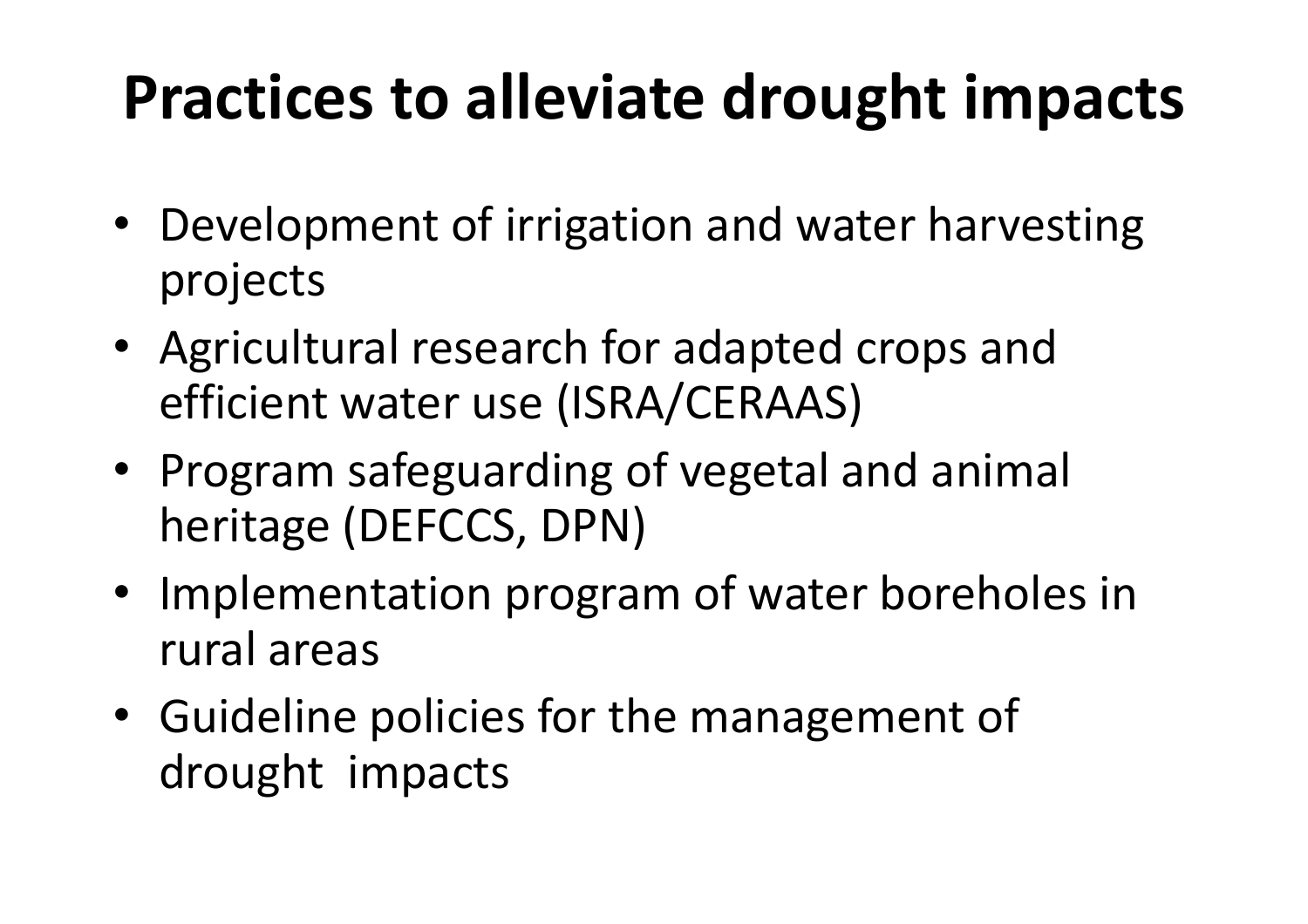#### **Practices to alleviate drought impacts**

- Development of irrigation and water harvesting projects
- Agricultural research for adapted crops and efficient water use (ISRA/CERAAS)
- Program safeguarding of vegetal and animal heritage (DEFCCS, DPN)
- Implementation program of water boreholes in rural areas
- Guideline policies for the management of drought impacts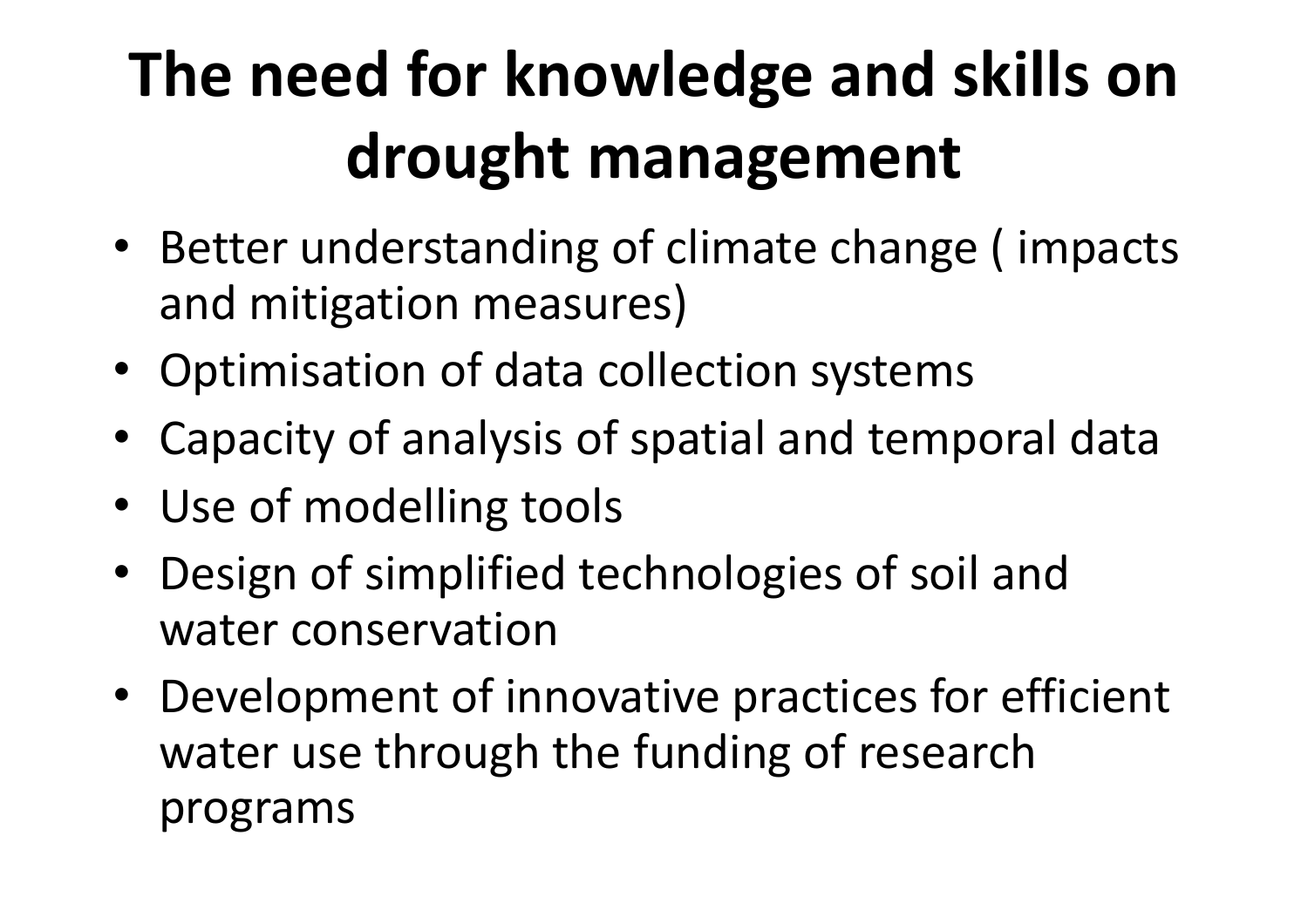### **The need for knowledge and skills on drought management**

- Better understanding of climate change ( impacts and mitigation measures)
- Optimisation of data collection systems
- Capacity of analysis of spatial and temporal data
- Use of modelling tools
- Design of simplified technologies of soil and water conservation
- Development of innovative practices for efficient water use through the funding of research programs